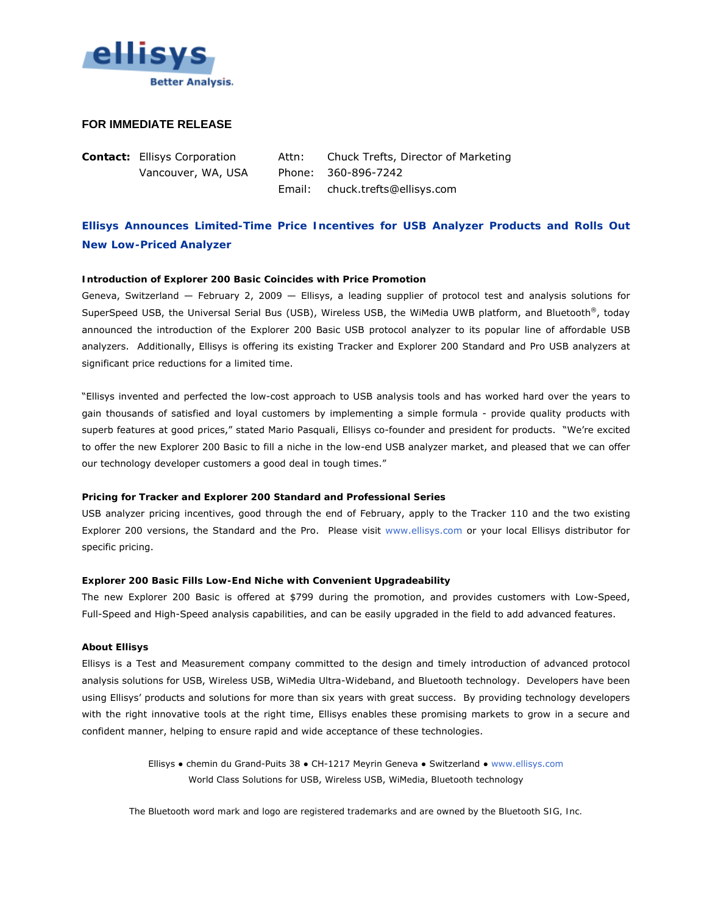

## **FOR IMMEDIATE RELEASE**

**Contact:** Ellisys Corporation Attn: Chuck Trefts, Director of Marketing Vancouver, WA, USA Phone: 360-896-7242 Email: chuck.trefts@ellisys.com

# **Ellisys Announces Limited-Time Price Incentives for USB Analyzer Products and Rolls Out New Low-Priced Analyzer**

#### **Introduction of Explorer 200 Basic Coincides with Price Promotion**

Geneva, Switzerland — February 2, 2009 — Ellisys, a leading supplier of protocol test and analysis solutions for SuperSpeed USB, the Universal Serial Bus (USB), Wireless USB, the WiMedia UWB platform, and *Bluetooth*®, today announced the introduction of the Explorer 200 Basic USB protocol analyzer to its popular line of affordable USB analyzers. Additionally, Ellisys is offering its existing Tracker and Explorer 200 Standard and Pro USB analyzers at significant price reductions for a limited time.

"Ellisys invented and perfected the low-cost approach to USB analysis tools and has worked hard over the years to gain thousands of satisfied and loyal customers by implementing a simple formula - provide quality products with superb features at good prices," stated Mario Pasquali, Ellisys co-founder and president for products. "We're excited to offer the new Explorer 200 Basic to fill a niche in the low-end USB analyzer market, and pleased that we can offer our technology developer customers a good deal in tough times."

#### **Pricing for Tracker and Explorer 200 Standard and Professional Series**

USB analyzer pricing incentives, good through the end of February, apply to the Tracker 110 and the two existing Explorer 200 versions, the Standard and the Pro. Please visit [www.ellisys.com](http://www.ellisys.com/) or your local Ellisys distributor for specific pricing.

#### **Explorer 200 Basic Fills Low-End Niche with Convenient Upgradeability**

The new Explorer 200 Basic is offered at \$799 during the promotion, and provides customers with Low-Speed, Full-Speed and High-Speed analysis capabilities, and can be easily upgraded in the field to add advanced features.

### **About Ellisys**

Ellisys is a Test and Measurement company committed to the design and timely introduction of advanced protocol analysis solutions for USB, Wireless USB, WiMedia Ultra-Wideband, and Bluetooth technology. Developers have been using Ellisys' products and solutions for more than six years with great success. By providing technology developers with the right innovative tools at the right time, Ellisys enables these promising markets to grow in a secure and confident manner, helping to ensure rapid and wide acceptance of these technologies.

> Ellisys ● chemin du Grand-Puits 38 ● CH-1217 Meyrin Geneva ● Switzerland ● [www.ellisys.com](http://www.ellisys.com/) World Class Solutions for USB, Wireless USB, WiMedia, *Bluetooth* technology

*The* Bluetooth *word mark and logo are registered trademarks and are owned by the Bluetooth SIG, Inc.*